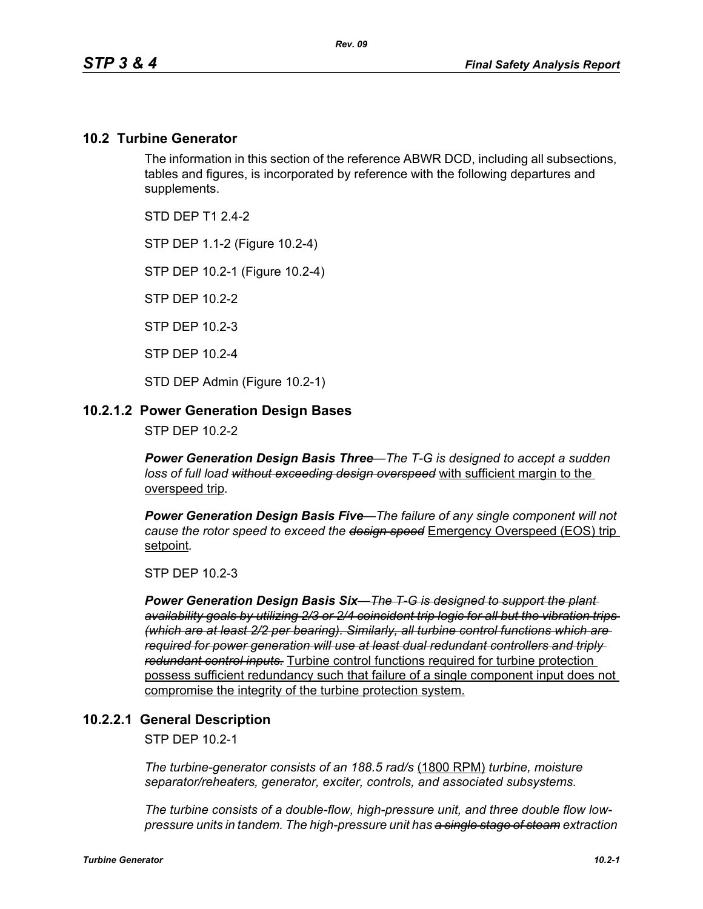#### **10.2 Turbine Generator**

The information in this section of the reference ABWR DCD, including all subsections, tables and figures, is incorporated by reference with the following departures and supplements.

STD DFP T1 2 4-2

STP DEP 1.1-2 (Figure 10.2-4)

STP DEP 10.2-1 (Figure 10.2-4)

STP DEP 10.2-2

STP DEP 10.2-3

STP DEP 10.2-4

STD DEP Admin (Figure 10.2-1)

#### **10.2.1.2 Power Generation Design Bases**

STP DEP 10.2-2

*Power Generation Design Basis Three—The T-G is designed to accept a sudden loss of full load without exceeding design overspeed* with sufficient margin to the overspeed trip*.* 

*Power Generation Design Basis Five—The failure of any single component will not cause the rotor speed to exceed the design speed* Emergency Overspeed (EOS) trip setpoint*.* 

STP DEP 10.2-3

*Power Generation Design Basis Six—The T-G is designed to support the plant availability goals by utilizing 2/3 or 2/4 coincident trip logic for all but the vibration trips (which are at least 2/2 per bearing). Similarly, all turbine control functions which are required for power generation will use at least dual redundant controllers and triply redundant control inputs.* Turbine control functions required for turbine protection possess sufficient redundancy such that failure of a single component input does not compromise the integrity of the turbine protection system.

#### **10.2.2.1 General Description**

STP DEP 10.2-1

*The turbine-generator consists of an 188.5 rad/s* (1800 RPM) *turbine, moisture separator/reheaters, generator, exciter, controls, and associated subsystems.*

*The turbine consists of a double-flow, high-pressure unit, and three double flow lowpressure units in tandem. The high-pressure unit has a single stage of steam extraction*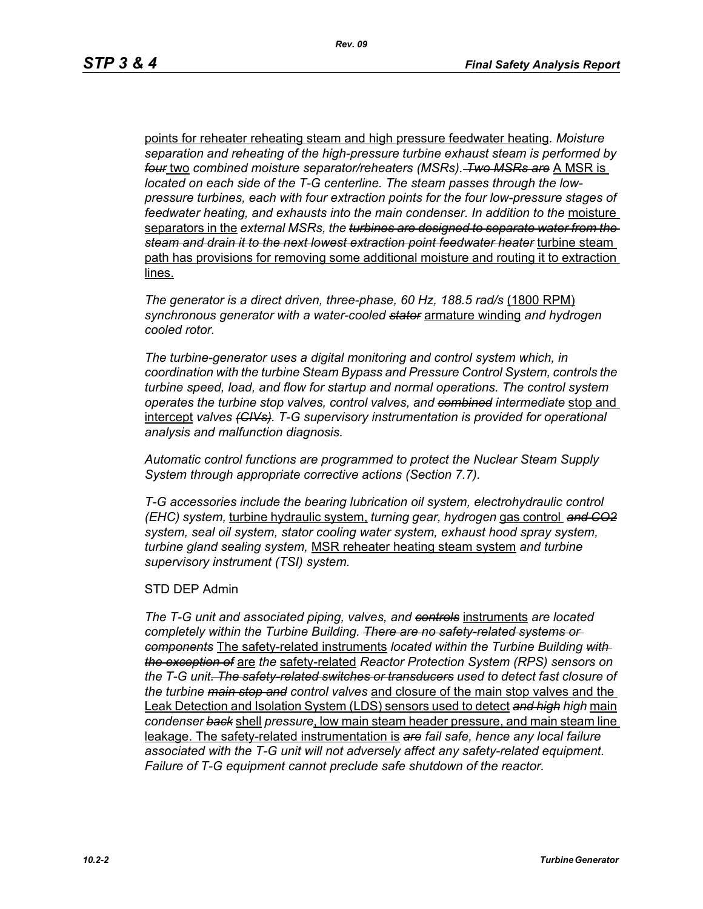points for reheater reheating steam and high pressure feedwater heating*. Moisture separation and reheating of the high-pressure turbine exhaust steam is performed by four* two *combined moisture separator/reheaters (MSRs). Two MSRs are* A MSR is *located on each side of the T-G centerline. The steam passes through the lowpressure turbines, each with four extraction points for the four low-pressure stages of*  feedwater heating, and exhausts into the main condenser. In addition to the moisture separators in the *external MSRs, the turbines are designed to separate water from the steam and drain it to the next lowest extraction point feedwater heater* turbine steam path has provisions for removing some additional moisture and routing it to extraction lines.

*The generator is a direct driven, three-phase, 60 Hz, 188.5 rad/s* (1800 RPM) *synchronous generator with a water-cooled stator* armature winding *and hydrogen cooled rotor.*

*The turbine-generator uses a digital monitoring and control system which, in coordination with the turbine Steam Bypass and Pressure Control System, controls the turbine speed, load, and flow for startup and normal operations. The control system operates the turbine stop valves, control valves, and combined intermediate* stop and intercept *valves (CIVs). T-G supervisory instrumentation is provided for operational analysis and malfunction diagnosis.*

*Automatic control functions are programmed to protect the Nuclear Steam Supply System through appropriate corrective actions (Section 7.7).*

*T-G accessories include the bearing lubrication oil system, electrohydraulic control (EHC) system,* turbine hydraulic system, *turning gear, hydrogen* gas control *and CO2 system, seal oil system, stator cooling water system, exhaust hood spray system, turbine gland sealing system,* MSR reheater heating steam system *and turbine supervisory instrument (TSI) system.*

#### STD DEP Admin

*The T-G unit and associated piping, valves, and controls* instruments *are located completely within the Turbine Building. There are no safety-related systems or components* The safety-related instruments *located within the Turbine Building with the exception of* are *the* safety-related *Reactor Protection System (RPS) sensors on the T-G unit. The safety-related switches or transducers used to detect fast closure of the turbine main stop and control valves* and closure of the main stop valves and the Leak Detection and Isolation System (LDS) sensors used to detect *and high high* main *condenser back* shell *pressure*, low main steam header pressure, and main steam line leakage. The safety-related instrumentation is *are fail safe, hence any local failure associated with the T-G unit will not adversely affect any safety-related equipment. Failure of T-G equipment cannot preclude safe shutdown of the reactor.*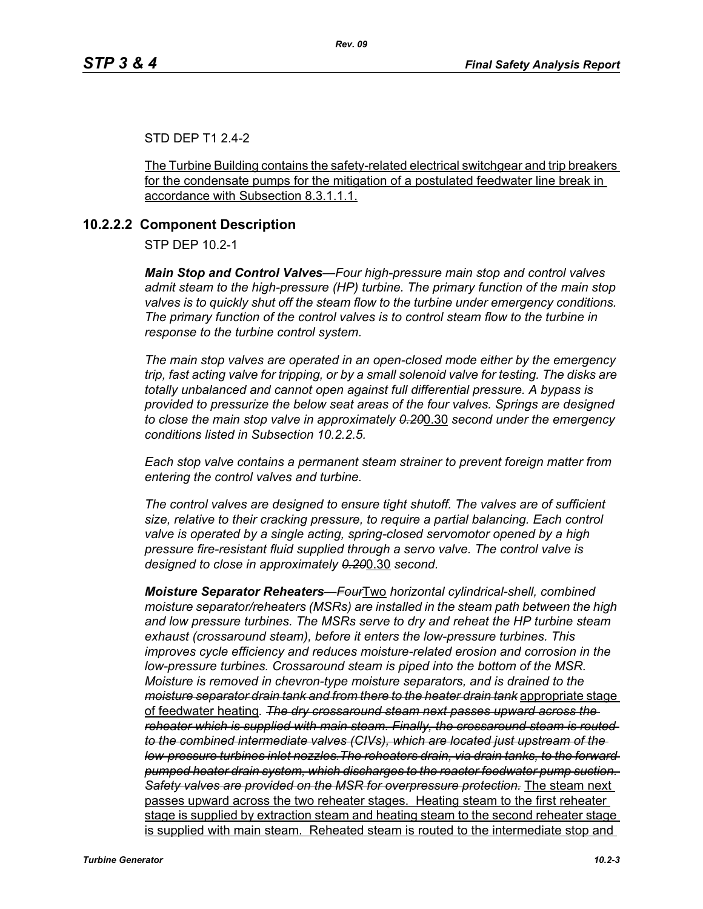#### STD DEP T1 2.4-2

The Turbine Building contains the safety-related electrical switchgear and trip breakers for the condensate pumps for the mitigation of a postulated feedwater line break in accordance with Subsection 8.3.1.1.1.

#### **10.2.2.2 Component Description**

STP DEP 10.2-1

*Main Stop and Control Valves—Four high-pressure main stop and control valves admit steam to the high-pressure (HP) turbine. The primary function of the main stop valves is to quickly shut off the steam flow to the turbine under emergency conditions. The primary function of the control valves is to control steam flow to the turbine in response to the turbine control system.*

*The main stop valves are operated in an open-closed mode either by the emergency trip, fast acting valve for tripping, or by a small solenoid valve for testing. The disks are totally unbalanced and cannot open against full differential pressure. A bypass is provided to pressurize the below seat areas of the four valves. Springs are designed to close the main stop valve in approximately 0.20*0.30 *second under the emergency conditions listed in Subsection 10.2.2.5.*

*Each stop valve contains a permanent steam strainer to prevent foreign matter from entering the control valves and turbine.*

*The control valves are designed to ensure tight shutoff. The valves are of sufficient size, relative to their cracking pressure, to require a partial balancing. Each control valve is operated by a single acting, spring-closed servomotor opened by a high pressure fire-resistant fluid supplied through a servo valve. The control valve is designed to close in approximately 0.20*0.30 *second.*

*Moisture Separator Reheaters—Four*Two *horizontal cylindrical-shell, combined moisture separator/reheaters (MSRs) are installed in the steam path between the high and low pressure turbines. The MSRs serve to dry and reheat the HP turbine steam exhaust (crossaround steam), before it enters the low-pressure turbines. This improves cycle efficiency and reduces moisture-related erosion and corrosion in the low-pressure turbines. Crossaround steam is piped into the bottom of the MSR. Moisture is removed in chevron-type moisture separators, and is drained to the moisture separator drain tank and from there to the heater drain tank* appropriate stage of feedwater heating*. The dry crossaround steam next passes upward across the reheater which is supplied with main steam. Finally, the crossaround steam is routed to the combined intermediate valves (CIVs), which are located just upstream of the low-pressure turbines inlet nozzles.The reheaters drain, via drain tanks, to the forward pumped heater drain system, which discharges to the reactor feedwater pump suction. Safety valves are provided on the MSR for overpressure protection.* The steam next passes upward across the two reheater stages. Heating steam to the first reheater stage is supplied by extraction steam and heating steam to the second reheater stage is supplied with main steam. Reheated steam is routed to the intermediate stop and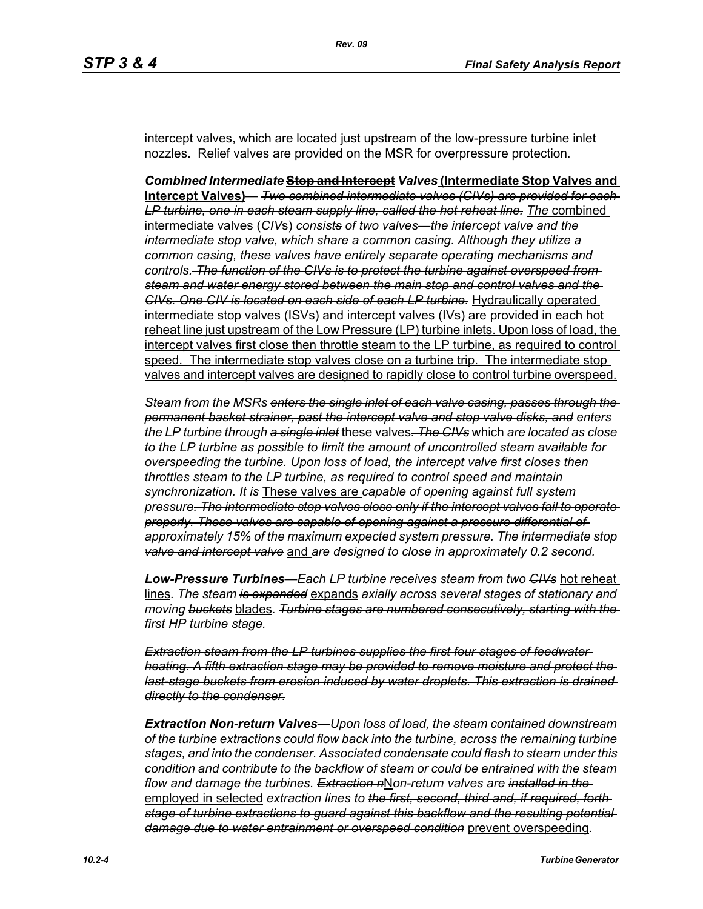intercept valves, which are located just upstream of the low-pressure turbine inlet nozzles. Relief valves are provided on the MSR for overpressure protection.

*Combined Intermediate* **Stop and Intercept** *Valves* **(Intermediate Stop Valves and Intercept Valves)***— Two combined intermediate valves (CIVs) are provided for each*  LP turbine, one in each steam supply line, called the hot reheat line. The combined intermediate valves (*CIV*s) *consists of two valves—the intercept valve and the intermediate stop valve, which share a common casing. Although they utilize a common casing, these valves have entirely separate operating mechanisms and controls. The function of the CIVs is to protect the turbine against overspeed from steam and water energy stored between the main stop and control valves and the CIVs. One CIV is located on each side of each LP turbine.* Hydraulically operated intermediate stop valves (ISVs) and intercept valves (IVs) are provided in each hot reheat line just upstream of the Low Pressure (LP) turbine inlets. Upon loss of load, the intercept valves first close then throttle steam to the LP turbine, as required to control speed. The intermediate stop valves close on a turbine trip. The intermediate stop valves and intercept valves are designed to rapidly close to control turbine overspeed.

*Steam from the MSRs enters the single inlet of each valve casing, passes through the permanent basket strainer, past the intercept valve and stop valve disks, and enters the LP turbine through a single inlet* these valves*. The CIVs* which *are located as close to the LP turbine as possible to limit the amount of uncontrolled steam available for overspeeding the turbine. Upon loss of load, the intercept valve first closes then throttles steam to the LP turbine, as required to control speed and maintain synchronization. It is* These valves are *capable of opening against full system pressure. The intermediate stop valves close only if the intercept valves fail to operate properly. These valves are capable of opening against a pressure differential of approximately 15% of the maximum expected system pressure. The intermediate stop valve and intercept valve* and *are designed to close in approximately 0.2 second.* 

*Low-Pressure Turbines—Each LP turbine receives steam from two CIVs* hot reheat lines*. The steam is expanded* expands *axially across several stages of stationary and moving buckets* blades*. Turbine stages are numbered consecutively, starting with the first HP turbine stage.*

*Extraction steam from the LP turbines supplies the first four stages of feedwater heating. A fifth extraction stage may be provided to remove moisture and protect the last-stage buckets from erosion induced by water droplets. This extraction is drained directly to the condenser.*

*Extraction Non-return Valves—Upon loss of load, the steam contained downstream of the turbine extractions could flow back into the turbine, across the remaining turbine stages, and into the condenser. Associated condensate could flash to steam under this condition and contribute to the backflow of steam or could be entrained with the steam flow and damage the turbines. Extraction n*N*on-return valves are installed in the*  employed in selected *extraction lines to the first, second, third and, if required, forth stage of turbine extractions to guard against this backflow and the resulting potential damage due to water entrainment or overspeed condition* prevent overspeeding*.*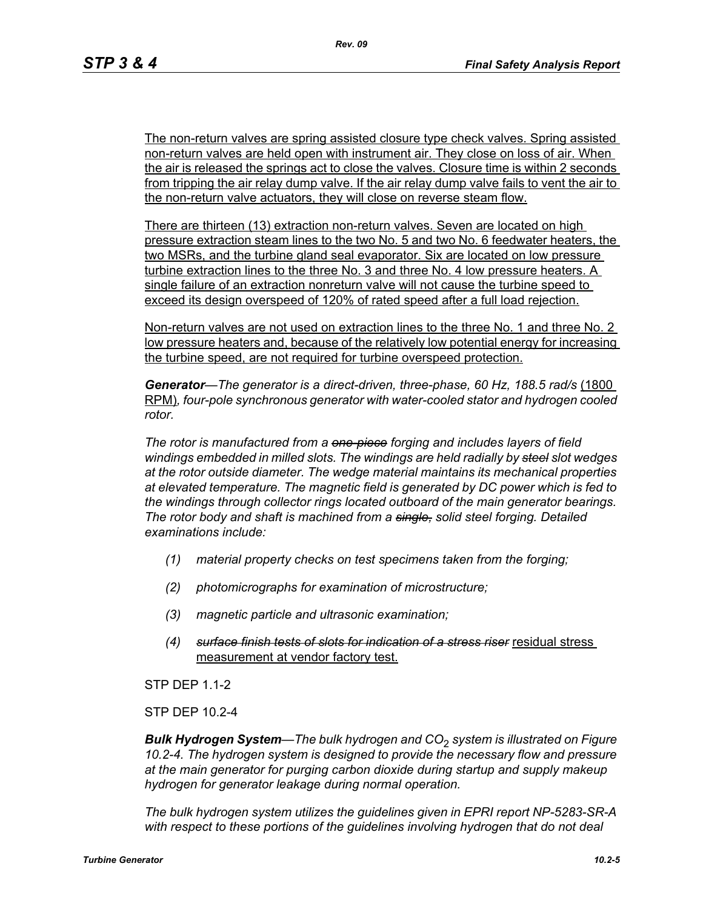The non-return valves are spring assisted closure type check valves. Spring assisted non-return valves are held open with instrument air. They close on loss of air. When the air is released the springs act to close the valves. Closure time is within 2 seconds from tripping the air relay dump valve. If the air relay dump valve fails to vent the air to the non-return valve actuators, they will close on reverse steam flow.

There are thirteen (13) extraction non-return valves. Seven are located on high pressure extraction steam lines to the two No. 5 and two No. 6 feedwater heaters, the two MSRs, and the turbine gland seal evaporator. Six are located on low pressure turbine extraction lines to the three No. 3 and three No. 4 low pressure heaters. A single failure of an extraction nonreturn valve will not cause the turbine speed to exceed its design overspeed of 120% of rated speed after a full load rejection.

Non-return valves are not used on extraction lines to the three No. 1 and three No. 2 low pressure heaters and, because of the relatively low potential energy for increasing the turbine speed, are not required for turbine overspeed protection.

Generator—The generator is a direct-driven, three-phase, 60 Hz, 188.5 rad/s (1800 RPM)*, four-pole synchronous generator with water-cooled stator and hydrogen cooled rotor.*

*The rotor is manufactured from a one-piece forging and includes layers of field windings embedded in milled slots. The windings are held radially by steel slot wedges at the rotor outside diameter. The wedge material maintains its mechanical properties at elevated temperature. The magnetic field is generated by DC power which is fed to the windings through collector rings located outboard of the main generator bearings. The rotor body and shaft is machined from a single, solid steel forging. Detailed examinations include:* 

- *(1) material property checks on test specimens taken from the forging;*
- *(2) photomicrographs for examination of microstructure;*
- *(3) magnetic particle and ultrasonic examination;*
- *(4) surface finish tests of slots for indication of a stress riser* residual stress measurement at vendor factory test.

STP DEP 1.1-2

STP DEP 10.2-4

*Bulk Hydrogen System—The bulk hydrogen and CO*2 *system is illustrated on Figure 10.2-4. The hydrogen system is designed to provide the necessary flow and pressure at the main generator for purging carbon dioxide during startup and supply makeup hydrogen for generator leakage during normal operation.*

*The bulk hydrogen system utilizes the guidelines given in EPRI report NP-5283-SR-A*  with respect to these portions of the guidelines involving hydrogen that do not deal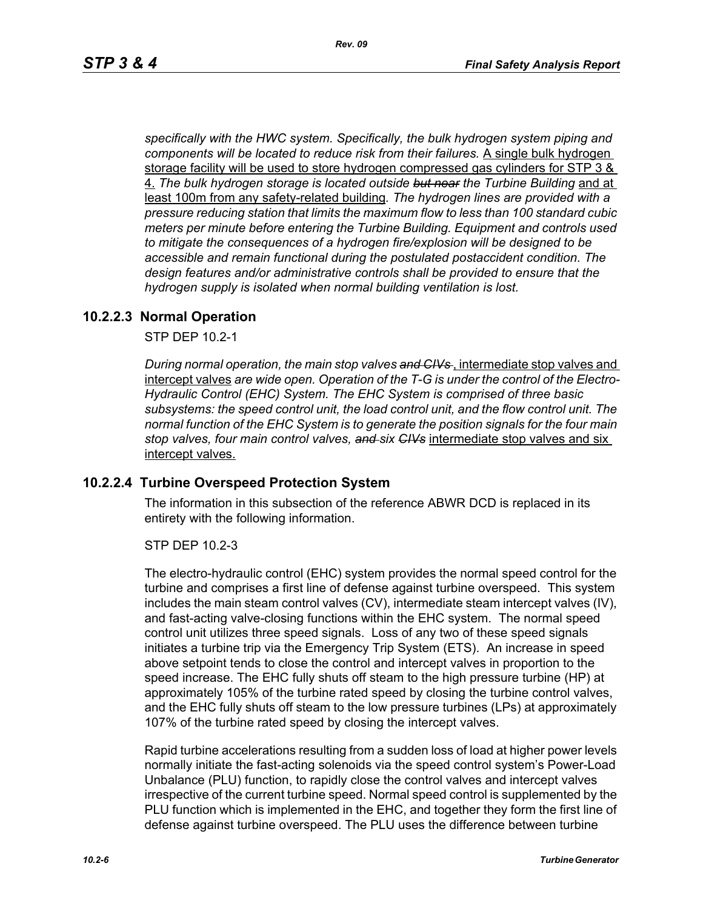*specifically with the HWC system. Specifically, the bulk hydrogen system piping and components will be located to reduce risk from their failures.* A single bulk hydrogen storage facility will be used to store hydrogen compressed gas cylinders for STP 3 & 4. *The bulk hydrogen storage is located outside but near the Turbine Building* and at least 100m from any safety-related building*. The hydrogen lines are provided with a pressure reducing station that limits the maximum flow to less than 100 standard cubic meters per minute before entering the Turbine Building. Equipment and controls used to mitigate the consequences of a hydrogen fire/explosion will be designed to be accessible and remain functional during the postulated postaccident condition. The design features and/or administrative controls shall be provided to ensure that the hydrogen supply is isolated when normal building ventilation is lost.*

#### **10.2.2.3 Normal Operation**

STP DEP 10.2-1

*During normal operation, the main stop valves and CIVs* , intermediate stop valves and intercept valves *are wide open. Operation of the T-G is under the control of the Electro-Hydraulic Control (EHC) System. The EHC System is comprised of three basic subsystems: the speed control unit, the load control unit, and the flow control unit. The normal function of the EHC System is to generate the position signals for the four main stop valves, four main control valves, and six CIVs* intermediate stop valves and six intercept valves.

#### **10.2.2.4 Turbine Overspeed Protection System**

The information in this subsection of the reference ABWR DCD is replaced in its entirety with the following information.

STP DEP 10.2-3

The electro-hydraulic control (EHC) system provides the normal speed control for the turbine and comprises a first line of defense against turbine overspeed. This system includes the main steam control valves (CV), intermediate steam intercept valves (IV), and fast-acting valve-closing functions within the EHC system. The normal speed control unit utilizes three speed signals. Loss of any two of these speed signals initiates a turbine trip via the Emergency Trip System (ETS). An increase in speed above setpoint tends to close the control and intercept valves in proportion to the speed increase. The EHC fully shuts off steam to the high pressure turbine (HP) at approximately 105% of the turbine rated speed by closing the turbine control valves, and the EHC fully shuts off steam to the low pressure turbines (LPs) at approximately 107% of the turbine rated speed by closing the intercept valves.

Rapid turbine accelerations resulting from a sudden loss of load at higher power levels normally initiate the fast-acting solenoids via the speed control system's Power-Load Unbalance (PLU) function, to rapidly close the control valves and intercept valves irrespective of the current turbine speed. Normal speed control is supplemented by the PLU function which is implemented in the EHC, and together they form the first line of defense against turbine overspeed. The PLU uses the difference between turbine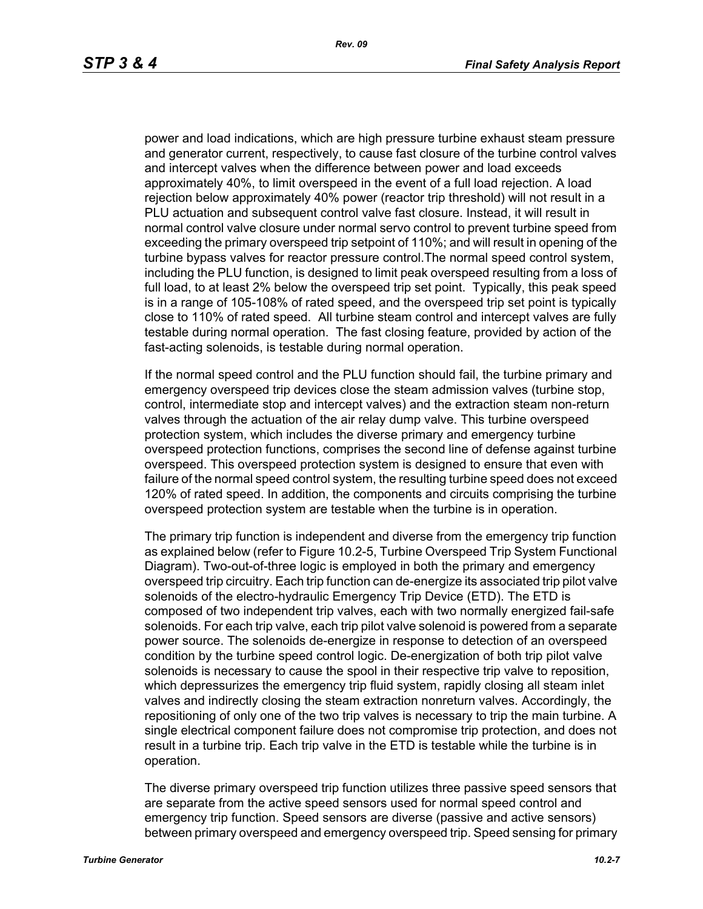power and load indications, which are high pressure turbine exhaust steam pressure and generator current, respectively, to cause fast closure of the turbine control valves and intercept valves when the difference between power and load exceeds approximately 40%, to limit overspeed in the event of a full load rejection. A load rejection below approximately 40% power (reactor trip threshold) will not result in a PLU actuation and subsequent control valve fast closure. Instead, it will result in normal control valve closure under normal servo control to prevent turbine speed from exceeding the primary overspeed trip setpoint of 110%; and will result in opening of the turbine bypass valves for reactor pressure control.The normal speed control system, including the PLU function, is designed to limit peak overspeed resulting from a loss of full load, to at least 2% below the overspeed trip set point. Typically, this peak speed is in a range of 105-108% of rated speed, and the overspeed trip set point is typically close to 110% of rated speed. All turbine steam control and intercept valves are fully testable during normal operation. The fast closing feature, provided by action of the fast-acting solenoids, is testable during normal operation.

If the normal speed control and the PLU function should fail, the turbine primary and emergency overspeed trip devices close the steam admission valves (turbine stop, control, intermediate stop and intercept valves) and the extraction steam non-return valves through the actuation of the air relay dump valve. This turbine overspeed protection system, which includes the diverse primary and emergency turbine overspeed protection functions, comprises the second line of defense against turbine overspeed. This overspeed protection system is designed to ensure that even with failure of the normal speed control system, the resulting turbine speed does not exceed 120% of rated speed. In addition, the components and circuits comprising the turbine overspeed protection system are testable when the turbine is in operation.

The primary trip function is independent and diverse from the emergency trip function as explained below (refer to Figure 10.2-5, Turbine Overspeed Trip System Functional Diagram). Two-out-of-three logic is employed in both the primary and emergency overspeed trip circuitry. Each trip function can de-energize its associated trip pilot valve solenoids of the electro-hydraulic Emergency Trip Device (ETD). The ETD is composed of two independent trip valves, each with two normally energized fail-safe solenoids. For each trip valve, each trip pilot valve solenoid is powered from a separate power source. The solenoids de-energize in response to detection of an overspeed condition by the turbine speed control logic. De-energization of both trip pilot valve solenoids is necessary to cause the spool in their respective trip valve to reposition, which depressurizes the emergency trip fluid system, rapidly closing all steam inlet valves and indirectly closing the steam extraction nonreturn valves. Accordingly, the repositioning of only one of the two trip valves is necessary to trip the main turbine. A single electrical component failure does not compromise trip protection, and does not result in a turbine trip. Each trip valve in the ETD is testable while the turbine is in operation.

The diverse primary overspeed trip function utilizes three passive speed sensors that are separate from the active speed sensors used for normal speed control and emergency trip function. Speed sensors are diverse (passive and active sensors) between primary overspeed and emergency overspeed trip. Speed sensing for primary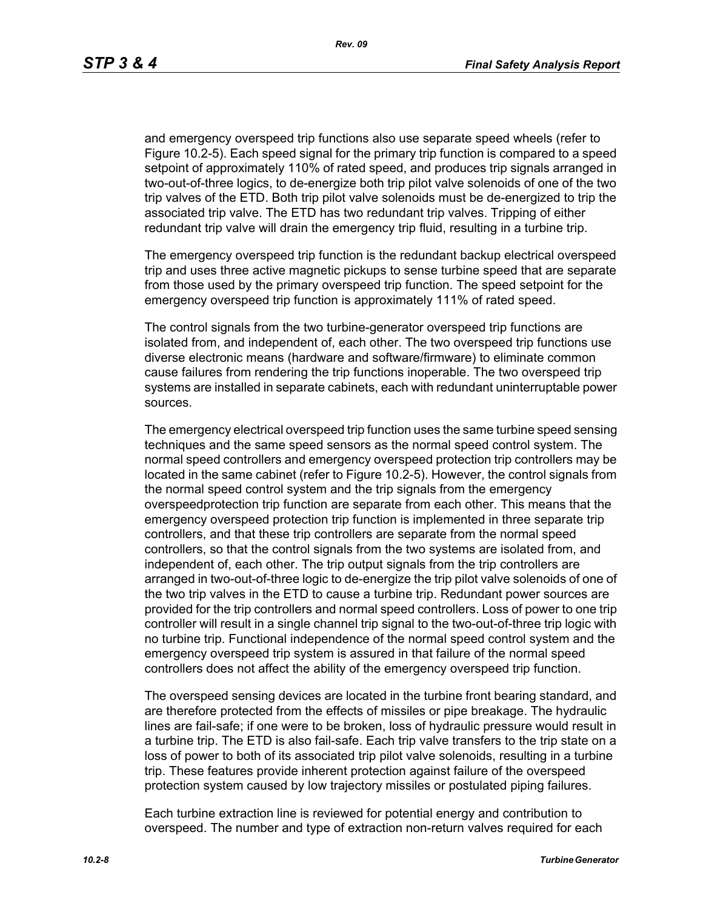and emergency overspeed trip functions also use separate speed wheels (refer to Figure 10.2-5). Each speed signal for the primary trip function is compared to a speed setpoint of approximately 110% of rated speed, and produces trip signals arranged in two-out-of-three logics, to de-energize both trip pilot valve solenoids of one of the two trip valves of the ETD. Both trip pilot valve solenoids must be de-energized to trip the associated trip valve. The ETD has two redundant trip valves. Tripping of either redundant trip valve will drain the emergency trip fluid, resulting in a turbine trip.

The emergency overspeed trip function is the redundant backup electrical overspeed trip and uses three active magnetic pickups to sense turbine speed that are separate from those used by the primary overspeed trip function. The speed setpoint for the emergency overspeed trip function is approximately 111% of rated speed.

The control signals from the two turbine-generator overspeed trip functions are isolated from, and independent of, each other. The two overspeed trip functions use diverse electronic means (hardware and software/firmware) to eliminate common cause failures from rendering the trip functions inoperable. The two overspeed trip systems are installed in separate cabinets, each with redundant uninterruptable power sources.

The emergency electrical overspeed trip function uses the same turbine speed sensing techniques and the same speed sensors as the normal speed control system. The normal speed controllers and emergency overspeed protection trip controllers may be located in the same cabinet (refer to Figure 10.2-5). However, the control signals from the normal speed control system and the trip signals from the emergency overspeedprotection trip function are separate from each other. This means that the emergency overspeed protection trip function is implemented in three separate trip controllers, and that these trip controllers are separate from the normal speed controllers, so that the control signals from the two systems are isolated from, and independent of, each other. The trip output signals from the trip controllers are arranged in two-out-of-three logic to de-energize the trip pilot valve solenoids of one of the two trip valves in the ETD to cause a turbine trip. Redundant power sources are provided for the trip controllers and normal speed controllers. Loss of power to one trip controller will result in a single channel trip signal to the two-out-of-three trip logic with no turbine trip. Functional independence of the normal speed control system and the emergency overspeed trip system is assured in that failure of the normal speed controllers does not affect the ability of the emergency overspeed trip function.

The overspeed sensing devices are located in the turbine front bearing standard, and are therefore protected from the effects of missiles or pipe breakage. The hydraulic lines are fail-safe; if one were to be broken, loss of hydraulic pressure would result in a turbine trip. The ETD is also fail-safe. Each trip valve transfers to the trip state on a loss of power to both of its associated trip pilot valve solenoids, resulting in a turbine trip. These features provide inherent protection against failure of the overspeed protection system caused by low trajectory missiles or postulated piping failures.

Each turbine extraction line is reviewed for potential energy and contribution to overspeed. The number and type of extraction non-return valves required for each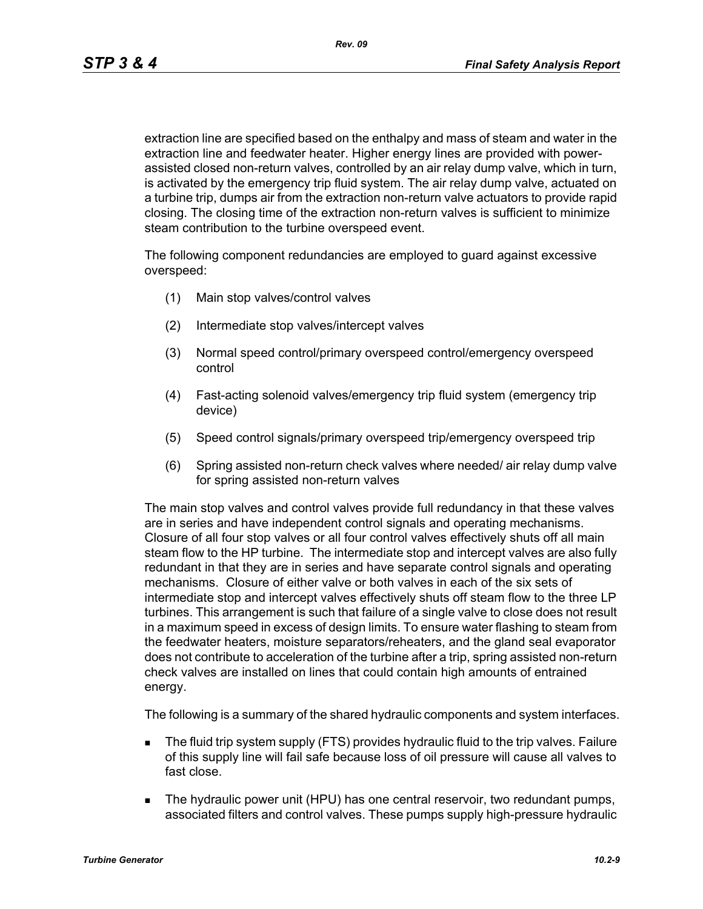extraction line are specified based on the enthalpy and mass of steam and water in the extraction line and feedwater heater. Higher energy lines are provided with powerassisted closed non-return valves, controlled by an air relay dump valve, which in turn, is activated by the emergency trip fluid system. The air relay dump valve, actuated on a turbine trip, dumps air from the extraction non-return valve actuators to provide rapid closing. The closing time of the extraction non-return valves is sufficient to minimize steam contribution to the turbine overspeed event.

The following component redundancies are employed to guard against excessive overspeed:

- (1) Main stop valves/control valves
- (2) Intermediate stop valves/intercept valves
- (3) Normal speed control/primary overspeed control/emergency overspeed control
- (4) Fast-acting solenoid valves/emergency trip fluid system (emergency trip device)
- (5) Speed control signals/primary overspeed trip/emergency overspeed trip
- (6) Spring assisted non-return check valves where needed/ air relay dump valve for spring assisted non-return valves

The main stop valves and control valves provide full redundancy in that these valves are in series and have independent control signals and operating mechanisms. Closure of all four stop valves or all four control valves effectively shuts off all main steam flow to the HP turbine. The intermediate stop and intercept valves are also fully redundant in that they are in series and have separate control signals and operating mechanisms. Closure of either valve or both valves in each of the six sets of intermediate stop and intercept valves effectively shuts off steam flow to the three LP turbines. This arrangement is such that failure of a single valve to close does not result in a maximum speed in excess of design limits. To ensure water flashing to steam from the feedwater heaters, moisture separators/reheaters, and the gland seal evaporator does not contribute to acceleration of the turbine after a trip, spring assisted non-return check valves are installed on lines that could contain high amounts of entrained energy.

The following is a summary of the shared hydraulic components and system interfaces.

- The fluid trip system supply (FTS) provides hydraulic fluid to the trip valves. Failure of this supply line will fail safe because loss of oil pressure will cause all valves to fast close.
- **The hydraulic power unit (HPU) has one central reservoir, two redundant pumps,** associated filters and control valves. These pumps supply high-pressure hydraulic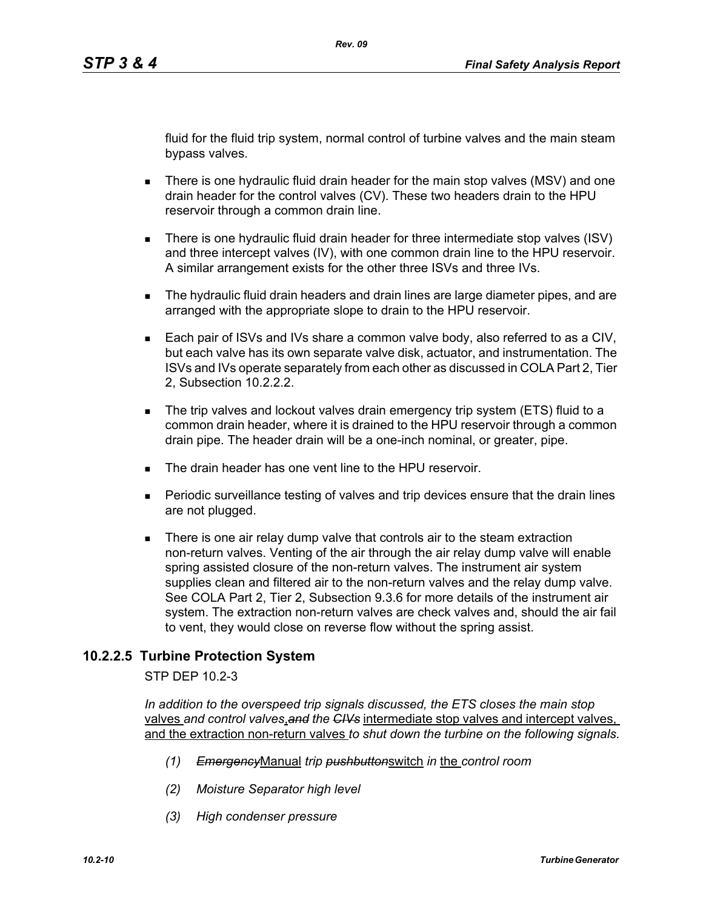fluid for the fluid trip system, normal control of turbine valves and the main steam bypass valves.

- There is one hydraulic fluid drain header for the main stop valves (MSV) and one drain header for the control valves (CV). These two headers drain to the HPU reservoir through a common drain line.
- There is one hydraulic fluid drain header for three intermediate stop valves (ISV) and three intercept valves (IV), with one common drain line to the HPU reservoir. A similar arrangement exists for the other three ISVs and three IVs.
- **The hydraulic fluid drain headers and drain lines are large diameter pipes, and are** arranged with the appropriate slope to drain to the HPU reservoir.
- Each pair of ISVs and IVs share a common valve body, also referred to as a CIV, but each valve has its own separate valve disk, actuator, and instrumentation. The ISVs and IVs operate separately from each other as discussed in COLA Part 2, Tier 2, Subsection 10.2.2.2.
- The trip valves and lockout valves drain emergency trip system (ETS) fluid to a common drain header, where it is drained to the HPU reservoir through a common drain pipe. The header drain will be a one-inch nominal, or greater, pipe.
- The drain header has one vent line to the HPU reservoir
- Periodic surveillance testing of valves and trip devices ensure that the drain lines are not plugged.
- There is one air relay dump valve that controls air to the steam extraction non-return valves. Venting of the air through the air relay dump valve will enable spring assisted closure of the non-return valves. The instrument air system supplies clean and filtered air to the non-return valves and the relay dump valve. See COLA Part 2, Tier 2, Subsection 9.3.6 for more details of the instrument air system. The extraction non-return valves are check valves and, should the air fail to vent, they would close on reverse flow without the spring assist.

# **10.2.2.5 Turbine Protection System**

STP DEP 10.2-3

*In addition to the overspeed trip signals discussed, the ETS closes the main stop*  valves *and control valves*,*and the CIVs* intermediate stop valves and intercept valves, and the extraction non-return valves *to shut down the turbine on the following signals.*

- *(1) Emergency*Manual *trip pushbutton*switch *in* the *control room*
- *(2) Moisture Separator high level*
- *(3) High condenser pressure*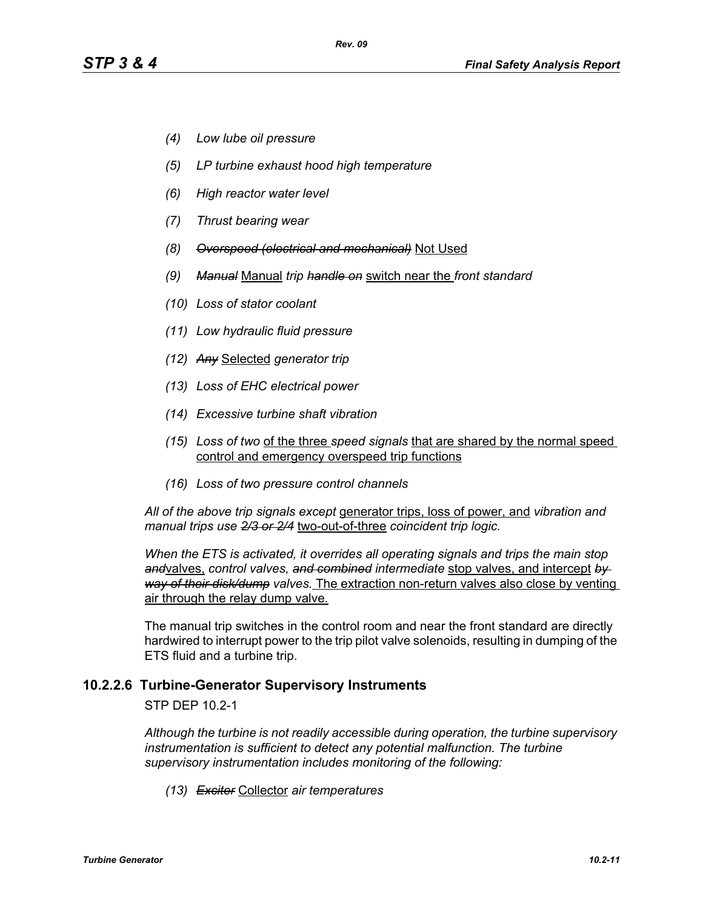- *(4) Low lube oil pressure*
- *(5) LP turbine exhaust hood high temperature*
- *(6) High reactor water level*
- *(7) Thrust bearing wear*
- *(8) Overspeed (electrical and mechanical)* Not Used
- *(9) Manual* Manual *trip handle on* switch near the *front standard*
- *(10) Loss of stator coolant*
- *(11) Low hydraulic fluid pressure*
- *(12) Any* Selected *generator trip*
- *(13) Loss of EHC electrical power*
- *(14) Excessive turbine shaft vibration*
- *(15) Loss of two* of the three *speed signals* that are shared by the normal speed control and emergency overspeed trip functions
- *(16) Loss of two pressure control channels*

*All of the above trip signals except* generator trips, loss of power, and *vibration and manual trips use 2/3 or 2/4* two-out-of-three *coincident trip logic.*

*When the ETS is activated, it overrides all operating signals and trips the main stop and*valves, *control valves, and combined intermediate* stop valves, and intercept *by way of their disk/dump valves.* The extraction non-return valves also close by venting air through the relay dump valve.

The manual trip switches in the control room and near the front standard are directly hardwired to interrupt power to the trip pilot valve solenoids, resulting in dumping of the ETS fluid and a turbine trip.

#### **10.2.2.6 Turbine-Generator Supervisory Instruments**

STP DEP 10.2-1

*Although the turbine is not readily accessible during operation, the turbine supervisory instrumentation is sufficient to detect any potential malfunction. The turbine supervisory instrumentation includes monitoring of the following:*

*(13) Exciter* Collector *air temperatures*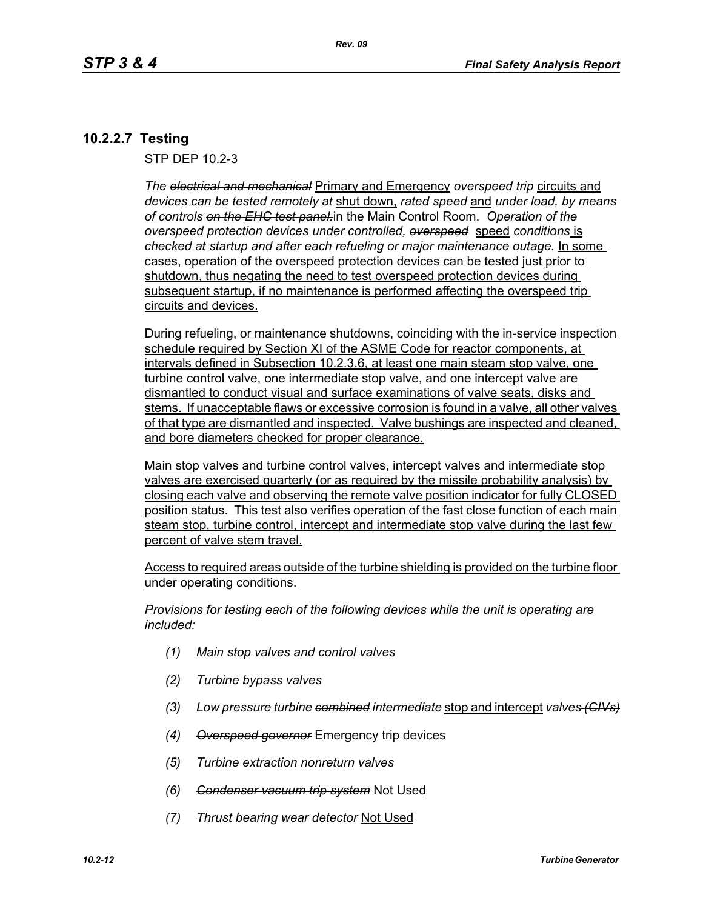# **10.2.2.7 Testing**

STP DEP 10.2-3

*The electrical and mechanical* Primary and Emergency *overspeed trip* circuits and *devices can be tested remotely at* shut down, *rated speed* and *under load, by means of controls on the EHC test panel.*in the Main Control Room. *Operation of the overspeed protection devices under controlled, overspeed* speed *conditions* is checked at startup and after each refueling or major maintenance outage. **In some** cases, operation of the overspeed protection devices can be tested just prior to shutdown, thus negating the need to test overspeed protection devices during subsequent startup, if no maintenance is performed affecting the overspeed trip circuits and devices.

During refueling, or maintenance shutdowns, coinciding with the in-service inspection schedule required by Section XI of the ASME Code for reactor components, at intervals defined in Subsection 10.2.3.6, at least one main steam stop valve, one turbine control valve, one intermediate stop valve, and one intercept valve are dismantled to conduct visual and surface examinations of valve seats, disks and stems. If unacceptable flaws or excessive corrosion is found in a valve, all other valves of that type are dismantled and inspected. Valve bushings are inspected and cleaned, and bore diameters checked for proper clearance.

Main stop valves and turbine control valves, intercept valves and intermediate stop valves are exercised quarterly (or as required by the missile probability analysis) by closing each valve and observing the remote valve position indicator for fully CLOSED position status. This test also verifies operation of the fast close function of each main steam stop, turbine control, intercept and intermediate stop valve during the last few percent of valve stem travel.

Access to required areas outside of the turbine shielding is provided on the turbine floor under operating conditions.

*Provisions for testing each of the following devices while the unit is operating are included:*

- *(1) Main stop valves and control valves*
- *(2) Turbine bypass valves*
- *(3) Low pressure turbine combined intermediate* stop and intercept *valves (CIVs)*
- *(4) Overspeed governor* Emergency trip devices
- *(5) Turbine extraction nonreturn valves*
- *(6) Condenser vacuum trip system* Not Used
- *(7) Thrust bearing wear detector* Not Used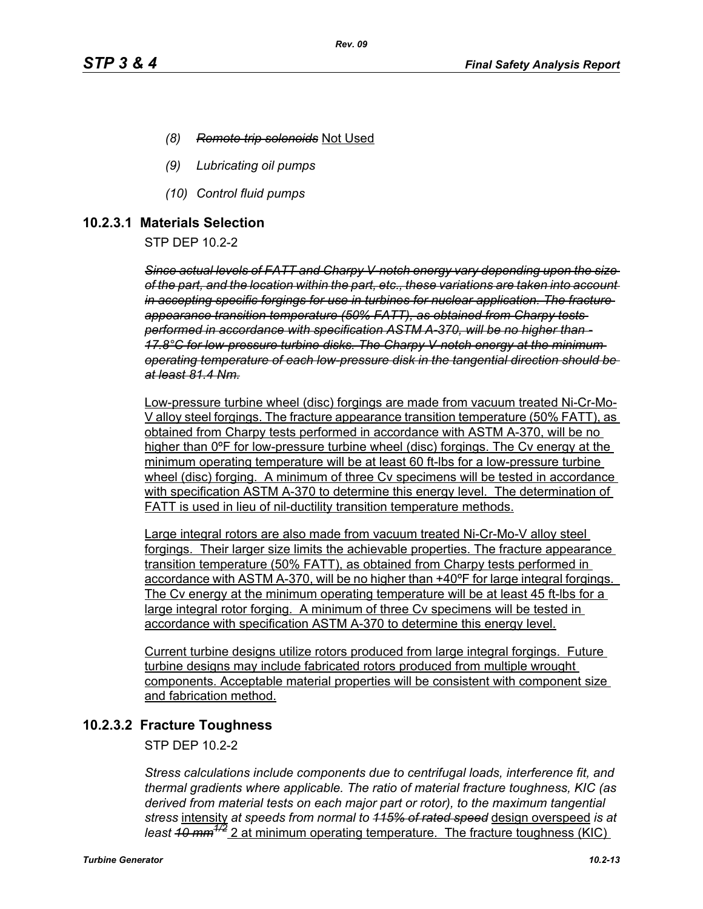- *(8) Remote trip solenoids* Not Used
- *(9) Lubricating oil pumps*
- *(10) Control fluid pumps*

#### **10.2.3.1 Materials Selection**

STP DEP 10.2-2

*Since actual levels of FATT and Charpy V-notch energy vary depending upon the size of the part, and the location within the part, etc., these variations are taken into account in accepting specific forgings for use in turbines for nuclear application. The fracture appearance transition temperature (50% FATT), as obtained from Charpy tests performed in accordance with specification ASTM A-370, will be no higher than - 17.8°C for low-pressure turbine disks. The Charpy V-notch energy at the minimum operating temperature of each low-pressure disk in the tangential direction should be at least 81.4 Nm.*

Low-pressure turbine wheel (disc) forgings are made from vacuum treated Ni-Cr-Mo-V alloy steel forgings. The fracture appearance transition temperature (50% FATT), as obtained from Charpy tests performed in accordance with ASTM A-370, will be no higher than 0ºF for low-pressure turbine wheel (disc) forgings. The Cv energy at the minimum operating temperature will be at least 60 ft-lbs for a low-pressure turbine wheel (disc) forging. A minimum of three Cv specimens will be tested in accordance with specification ASTM A-370 to determine this energy level. The determination of FATT is used in lieu of nil-ductility transition temperature methods.

Large integral rotors are also made from vacuum treated Ni-Cr-Mo-V alloy steel forgings. Their larger size limits the achievable properties. The fracture appearance transition temperature (50% FATT), as obtained from Charpy tests performed in accordance with ASTM A-370, will be no higher than +40ºF for large integral forgings. The Cv energy at the minimum operating temperature will be at least 45 ft-lbs for a large integral rotor forging. A minimum of three Cv specimens will be tested in accordance with specification ASTM A-370 to determine this energy level.

Current turbine designs utilize rotors produced from large integral forgings. Future turbine designs may include fabricated rotors produced from multiple wrought components. Acceptable material properties will be consistent with component size and fabrication method.

# **10.2.3.2 Fracture Toughness**

STP DEP 10.2-2

*Stress calculations include components due to centrifugal loads, interference fit, and thermal gradients where applicable. The ratio of material fracture toughness, KIC (as derived from material tests on each major part or rotor), to the maximum tangential stress* intensity *at speeds from normal to 115% of rated speed* design overspeed *is at least 10 mm1/2* 2 at minimum operating temperature. The fracture toughness (KIC)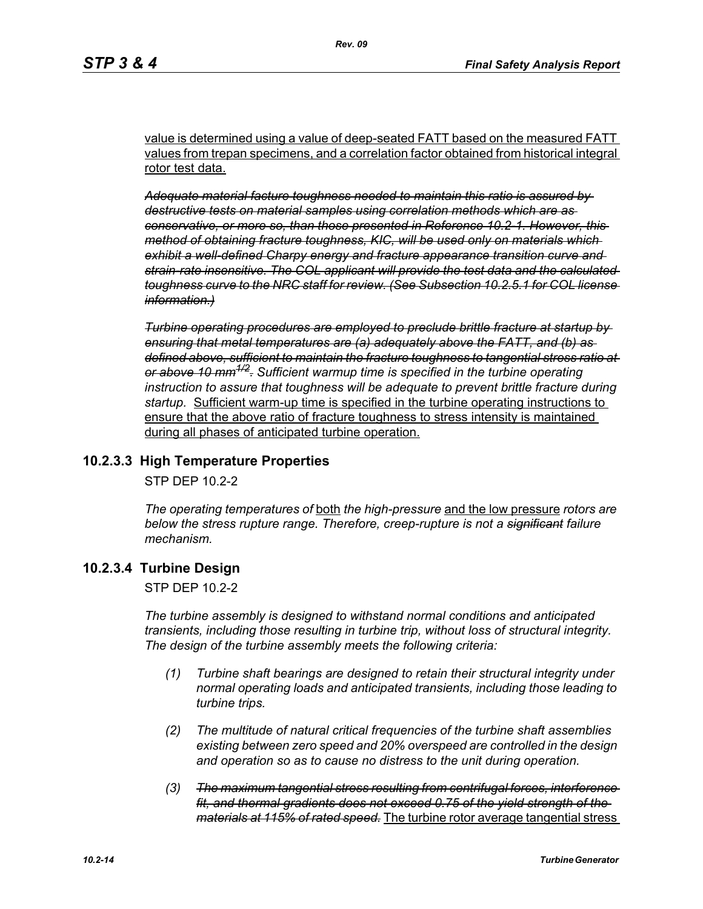value is determined using a value of deep-seated FATT based on the measured FATT values from trepan specimens, and a correlation factor obtained from historical integral rotor test data.

*Adequate material facture toughness needed to maintain this ratio is assured by destructive tests on material samples using correlation methods which are as conservative, or more so, than those presented in Reference 10.2-1. However, this method of obtaining fracture toughness, KIC, will be used only on materials which exhibit a well-defined Charpy energy and fracture appearance transition curve and strain-rate insensitive. The COL applicant will provide the test data and the calculated toughness curve to the NRC staff for review. (See Subsection 10.2.5.1 for COL license information.)*

*Turbine operating procedures are employed to preclude brittle fracture at startup by ensuring that metal temperatures are (a) adequately above the FATT, and (b) as defined above, sufficient to maintain the fracture toughness to tangential stress ratio at or above 10 mm1/2. Sufficient warmup time is specified in the turbine operating instruction to assure that toughness will be adequate to prevent brittle fracture during startup.* Sufficient warm-up time is specified in the turbine operating instructions to ensure that the above ratio of fracture toughness to stress intensity is maintained during all phases of anticipated turbine operation.

# **10.2.3.3 High Temperature Properties**

STP DEP 10.2-2

*The operating temperatures of* both *the high-pressure* and the low pressure *rotors are below the stress rupture range. Therefore, creep-rupture is not a significant failure mechanism.* 

# **10.2.3.4 Turbine Design**

STP DEP 10.2-2

*The turbine assembly is designed to withstand normal conditions and anticipated transients, including those resulting in turbine trip, without loss of structural integrity. The design of the turbine assembly meets the following criteria:* 

- *(1) Turbine shaft bearings are designed to retain their structural integrity under normal operating loads and anticipated transients, including those leading to turbine trips.*
- *(2) The multitude of natural critical frequencies of the turbine shaft assemblies existing between zero speed and 20% overspeed are controlled in the design and operation so as to cause no distress to the unit during operation.*
- *(3) The maximum tangential stress resulting from centrifugal forces, interference fit, and thermal gradients does not exceed 0.75 of the yield strength of the materials at 115% of rated speed.* The turbine rotor average tangential stress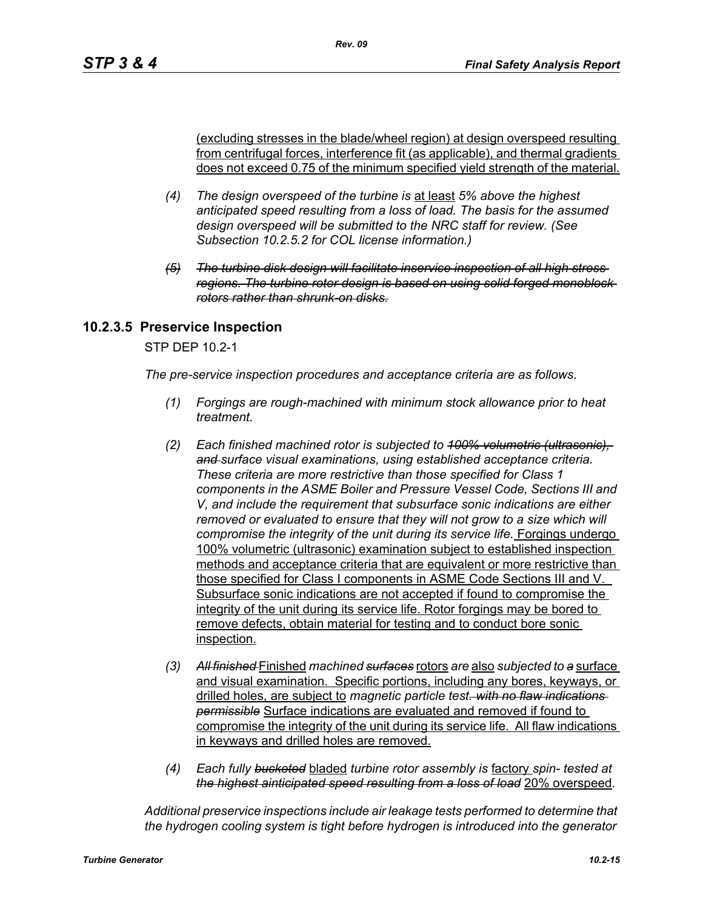(excluding stresses in the blade/wheel region) at design overspeed resulting from centrifugal forces, interference fit (as applicable), and thermal gradients does not exceed 0.75 of the minimum specified yield strength of the material.

- *(4) The design overspeed of the turbine is* at least *5% above the highest anticipated speed resulting from a loss of load. The basis for the assumed design overspeed will be submitted to the NRC staff for review. (See Subsection 10.2.5.2 for COL license information.)*
- *(5) The turbine disk design will facilitate inservice inspection of all high stress regions. The turbine rotor design is based on using solid forged monoblock rotors rather than shrunk-on disks.*

# **10.2.3.5 Preservice Inspection**

STP DEP 10.2-1

*The pre-service inspection procedures and acceptance criteria are as follows.*

- *(1) Forgings are rough-machined with minimum stock allowance prior to heat treatment.*
- *(2) Each finished machined rotor is subjected to 100% volumetric (ultrasonic), and surface visual examinations, using established acceptance criteria. These criteria are more restrictive than those specified for Class 1 components in the ASME Boiler and Pressure Vessel Code, Sections III and V, and include the requirement that subsurface sonic indications are either removed or evaluated to ensure that they will not grow to a size which will compromise the integrity of the unit during its service life.* Forgings undergo 100% volumetric (ultrasonic) examination subject to established inspection methods and acceptance criteria that are equivalent or more restrictive than those specified for Class I components in ASME Code Sections III and V. Subsurface sonic indications are not accepted if found to compromise the integrity of the unit during its service life. Rotor forgings may be bored to remove defects, obtain material for testing and to conduct bore sonic inspection.
- *(3) All finished* Finished *machined surfaces* rotors *are* also *subjected to a* surface and visual examination. Specific portions, including any bores, keyways, or drilled holes, are subject to *magnetic particle test. with no flaw indications permissible* Surface indications are evaluated and removed if found to compromise the integrity of the unit during its service life. All flaw indications in keyways and drilled holes are removed.
- *(4) Each fully bucketed* bladed *turbine rotor assembly is* factory *spin- tested at the highest ainticipated speed resulting from a loss of load* 20% overspeed*.*

*Additional preservice inspections include air leakage tests performed to determine that the hydrogen cooling system is tight before hydrogen is introduced into the generator*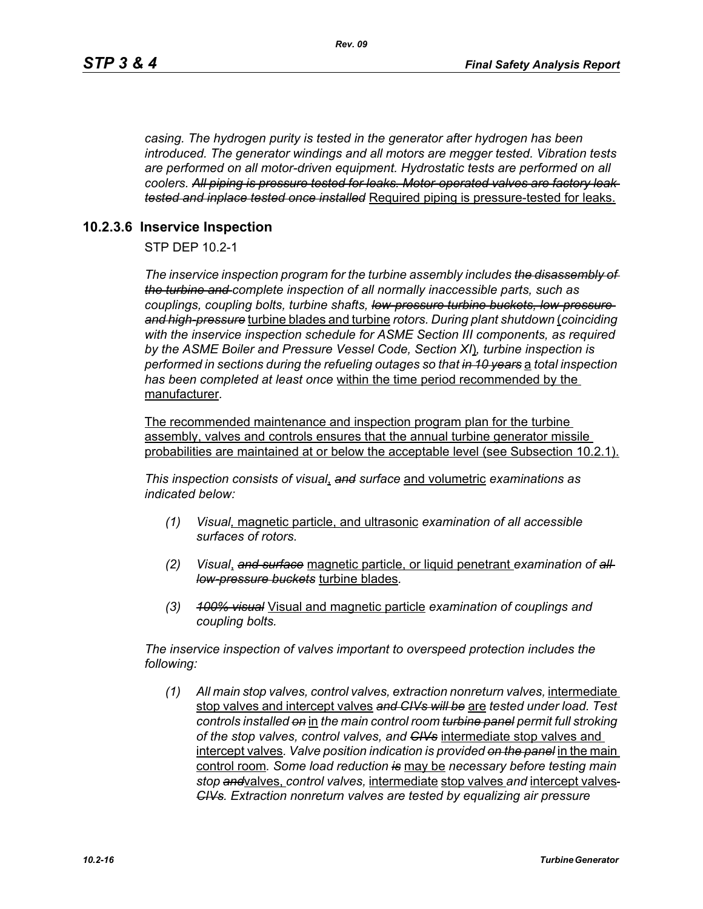*casing. The hydrogen purity is tested in the generator after hydrogen has been introduced. The generator windings and all motors are megger tested. Vibration tests are performed on all motor-driven equipment. Hydrostatic tests are performed on all coolers. All piping is pressure tested for leaks. Motor-operated valves are factory leak tested and inplace tested once installed* Required piping is pressure-tested for leaks.

#### **10.2.3.6 Inservice Inspection**

STP DEP 10.2-1

*The inservice inspection program for the turbine assembly includes the disassembly of the turbine and complete inspection of all normally inaccessible parts, such as couplings, coupling bolts, turbine shafts, low-pressure turbine buckets, low-pressure and high-pressure* turbine blades and turbine *rotors. During plant shutdown* (*coinciding with the inservice inspection schedule for ASME Section III components, as required by the ASME Boiler and Pressure Vessel Code, Section XI*)*, turbine inspection is performed in sections during the refueling outages so that in 10 years* a *total inspection has been completed at least once* within the time period recommended by the manufacturer*.* 

The recommended maintenance and inspection program plan for the turbine assembly, valves and controls ensures that the annual turbine generator missile probabilities are maintained at or below the acceptable level (see Subsection 10.2.1).

*This inspection consists of visual*, *and surface* and volumetric *examinations as indicated below:*

- *(1) Visual,* magnetic particle, and ultrasonic *examination of all accessible surfaces of rotors.*
- *(2) Visual*, *and surface* magnetic particle, or liquid penetrant *examination of all low-pressure buckets* turbine blades*.*
- *(3) 100% visual* Visual and magnetic particle *examination of couplings and coupling bolts.*

*The inservice inspection of valves important to overspeed protection includes the following:*

*(1) All main stop valves, control valves, extraction nonreturn valves,* intermediate stop valves and intercept valves *and CIVs will be* are *tested under load. Test controls installed on* in *the main control room turbine panel permit full stroking of the stop valves, control valves, and CIVs* intermediate stop valves and intercept valves*. Valve position indication is provided on the panel* in the main control room*. Some load reduction is* may be *necessary before testing main stop and*valves, *control valves,* intermediate stop valves *and* intercept valves *CIVs. Extraction nonreturn valves are tested by equalizing air pressure*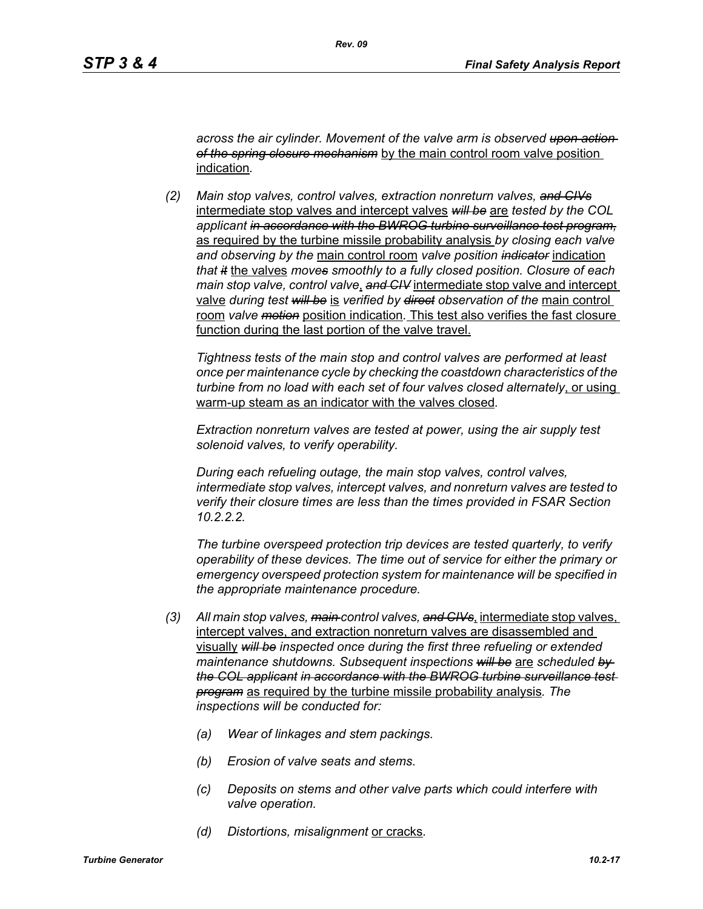*across the air cylinder. Movement of the valve arm is observed upon action of the spring closure mechanism* by the main control room valve position indication*.*

*(2) Main stop valves, control valves, extraction nonreturn valves, and CIVs* intermediate stop valves and intercept valves *will be* are *tested by the COL applicant in accordance with the BWROG turbine surveillance test program,* as required by the turbine missile probability analysis *by closing each valve and observing by the* main control room *valve position indicator* indication *that it* the valves *moves smoothly to a fully closed position. Closure of each main stop valve, control valve*, *and CIV* intermediate stop valve and intercept valve *during test will be* is *verified by direct observation of the* main control room *valve motion* position indication*.* This test also verifies the fast closure function during the last portion of the valve travel.

*Tightness tests of the main stop and control valves are performed at least once per maintenance cycle by checking the coastdown characteristics of the turbine from no load with each set of four valves closed alternately*, or using warm-up steam as an indicator with the valves closed*.* 

*Extraction nonreturn valves are tested at power, using the air supply test solenoid valves, to verify operability.*

*During each refueling outage, the main stop valves, control valves, intermediate stop valves, intercept valves, and nonreturn valves are tested to verify their closure times are less than the times provided in FSAR Section 10.2.2.2.*

*The turbine overspeed protection trip devices are tested quarterly, to verify operability of these devices. The time out of service for either the primary or emergency overspeed protection system for maintenance will be specified in the appropriate maintenance procedure.*

- *(3) All main stop valves, main control valves, and CIVs*, intermediate stop valves, intercept valves, and extraction nonreturn valves are disassembled and visually *will be inspected once during the first three refueling or extended maintenance shutdowns. Subsequent inspections will be* are *scheduled by the COL applicant in accordance with the BWROG turbine surveillance test program* as required by the turbine missile probability analysis*. The inspections will be conducted for:* 
	- *(a) Wear of linkages and stem packings.*
	- *(b) Erosion of valve seats and stems.*
	- *(c) Deposits on stems and other valve parts which could interfere with valve operation.*
	- *(d) Distortions, misalignment* or cracks*.*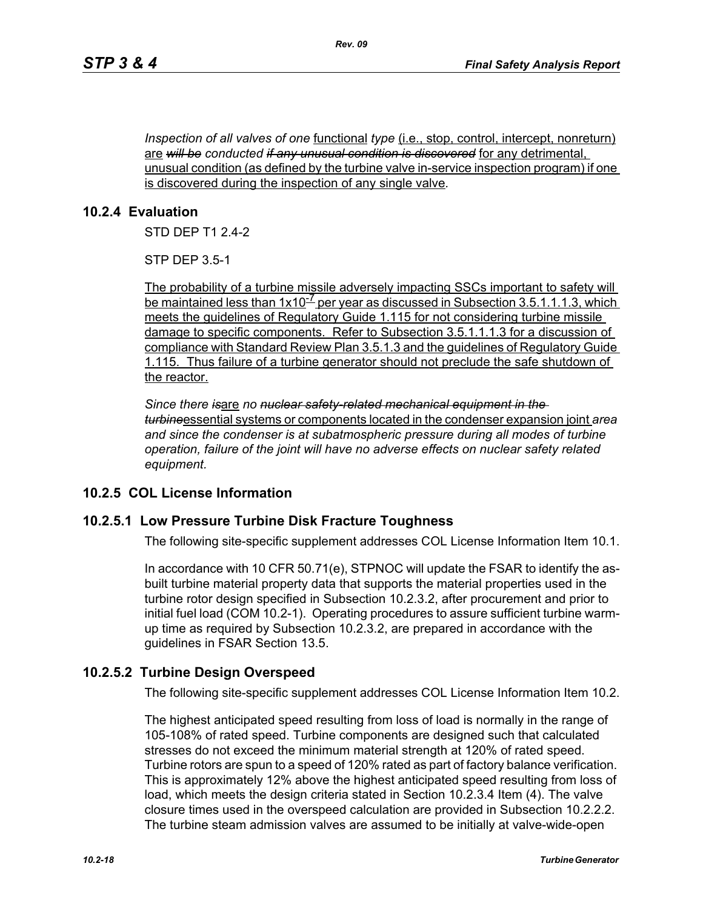*Inspection of all valves of one* <u>functional *type* (i.e., stop, control, intercept, nonreturn)</u> are *will be conducted if any unusual condition is discovered* for any detrimental, unusual condition (as defined by the turbine valve in-service inspection program) if one is discovered during the inspection of any single valve*.*

# **10.2.4 Evaluation**

STD DEP T1 2.4-2

STP DEP 3.5-1

The probability of a turbine missile adversely impacting SSCs important to safety will be maintained less than  $1x10^{-7}$  per year as discussed in Subsection 3.5.1.1.1.3, which meets the guidelines of Regulatory Guide 1.115 for not considering turbine missile damage to specific components. Refer to Subsection 3.5.1.1.1.3 for a discussion of compliance with Standard Review Plan 3.5.1.3 and the guidelines of Regulatory Guide 1.115. Thus failure of a turbine generator should not preclude the safe shutdown of the reactor.

*Since there is*are *no nuclear safety-related mechanical equipment in the turbine*essential systems or components located in the condenser expansion joint *area and since the condenser is at subatmospheric pressure during all modes of turbine operation, failure of the joint will have no adverse effects on nuclear safety related equipment.*

# **10.2.5 COL License Information**

# **10.2.5.1 Low Pressure Turbine Disk Fracture Toughness**

The following site-specific supplement addresses COL License Information Item 10.1.

In accordance with 10 CFR 50.71(e), STPNOC will update the FSAR to identify the asbuilt turbine material property data that supports the material properties used in the turbine rotor design specified in Subsection 10.2.3.2, after procurement and prior to initial fuel load (COM 10.2-1). Operating procedures to assure sufficient turbine warmup time as required by Subsection 10.2.3.2, are prepared in accordance with the guidelines in FSAR Section 13.5.

# **10.2.5.2 Turbine Design Overspeed**

The following site-specific supplement addresses COL License Information Item 10.2.

The highest anticipated speed resulting from loss of load is normally in the range of 105-108% of rated speed. Turbine components are designed such that calculated stresses do not exceed the minimum material strength at 120% of rated speed. Turbine rotors are spun to a speed of 120% rated as part of factory balance verification. This is approximately 12% above the highest anticipated speed resulting from loss of load, which meets the design criteria stated in Section 10.2.3.4 Item (4). The valve closure times used in the overspeed calculation are provided in Subsection 10.2.2.2. The turbine steam admission valves are assumed to be initially at valve-wide-open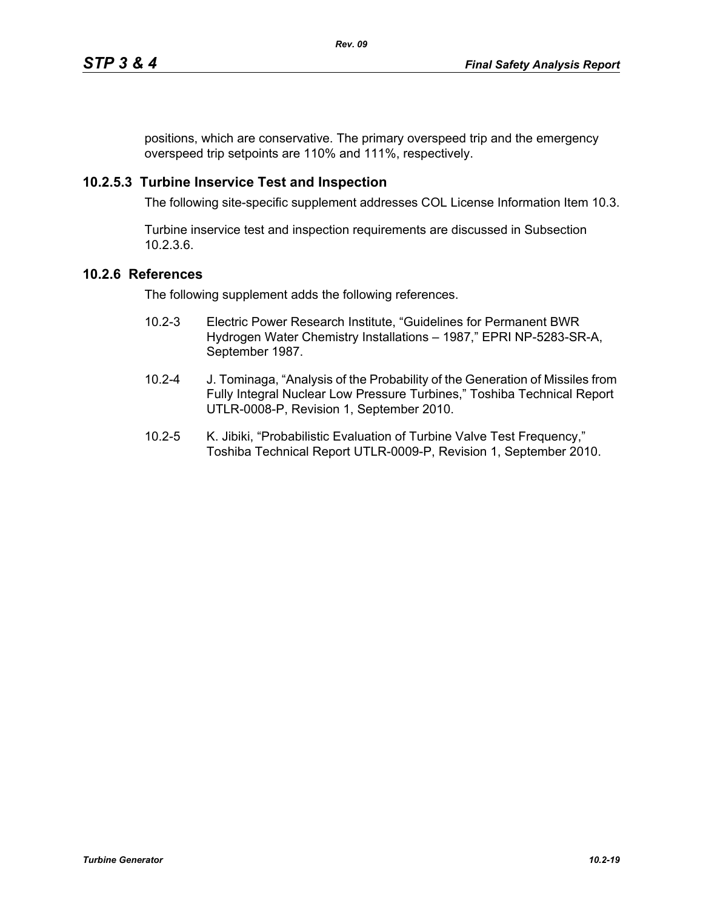positions, which are conservative. The primary overspeed trip and the emergency overspeed trip setpoints are 110% and 111%, respectively.

# **10.2.5.3 Turbine Inservice Test and Inspection**

The following site-specific supplement addresses COL License Information Item 10.3.

Turbine inservice test and inspection requirements are discussed in Subsection 10.2.3.6.

# **10.2.6 References**

The following supplement adds the following references.

- 10.2-3 Electric Power Research Institute, "Guidelines for Permanent BWR Hydrogen Water Chemistry Installations – 1987," EPRI NP-5283-SR-A, September 1987.
- 10.2-4 J. Tominaga, "Analysis of the Probability of the Generation of Missiles from Fully Integral Nuclear Low Pressure Turbines," Toshiba Technical Report UTLR-0008-P, Revision 1, September 2010.
- 10.2-5 K. Jibiki, "Probabilistic Evaluation of Turbine Valve Test Frequency," Toshiba Technical Report UTLR-0009-P, Revision 1, September 2010.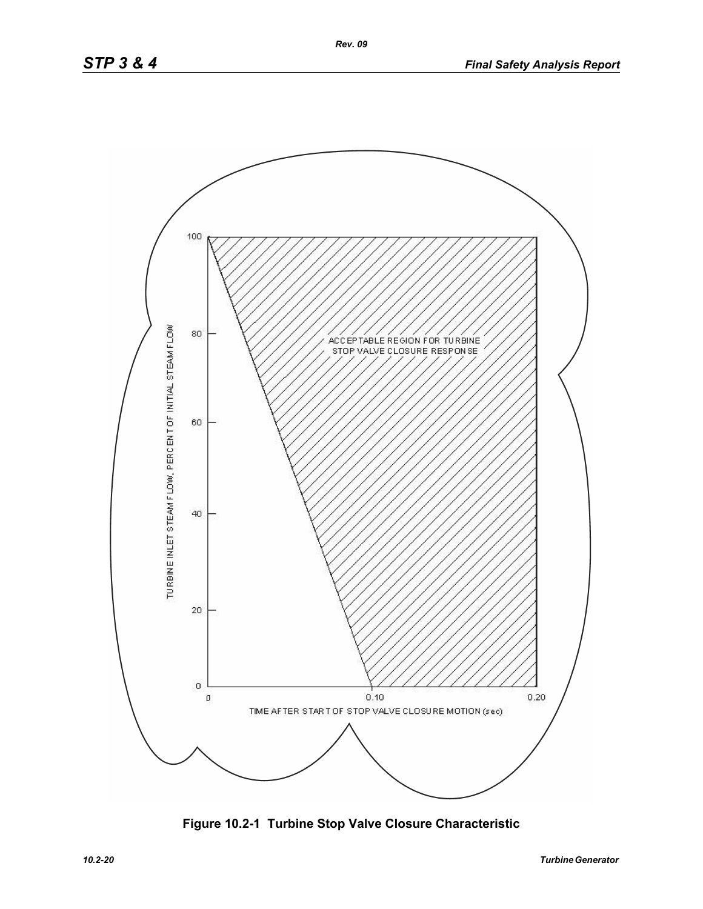

**Figure 10.2-1 Turbine Stop Valve Closure Characteristic**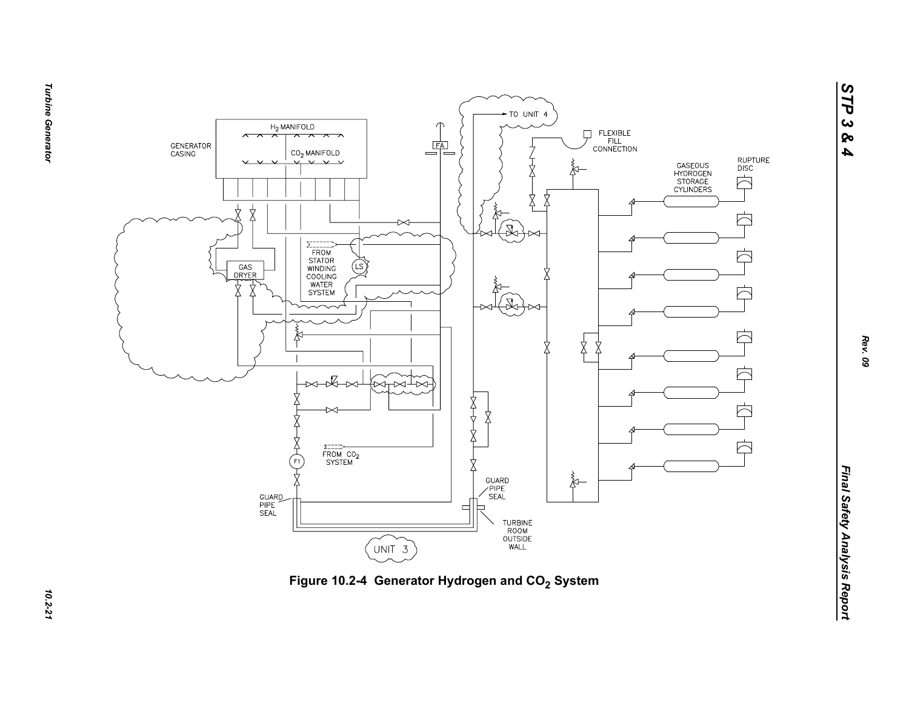



**Turbine Generator** *Turbine Generator 10.2-21*

*STP 3 & 4*